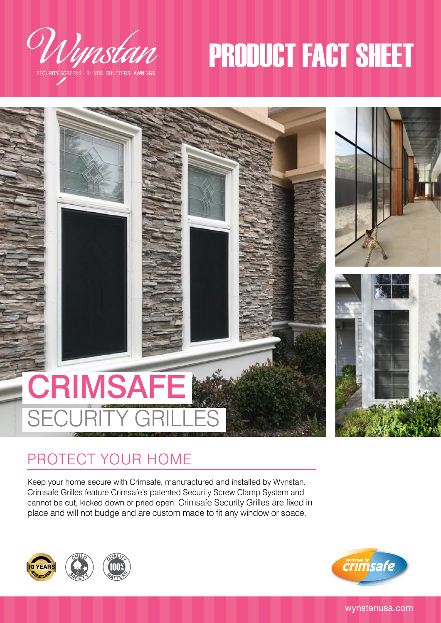

SECURITY SCREENS BLINDS SHUTTERS AWNINGS

# PRODUCT FACT SHEET



## PROTECT YOUR HOME

Keep your home secure with Crimsafe, manufactured and installed by Wynstan. Crimsafe Grilles feature Crimsafe's patented Security Screw Clamp System and cannot be cut, kicked down or pried open. Crimsafe Security Grilles are fixed in place and will not budge and are custom made to fit any window or space.





wynstanusa.com